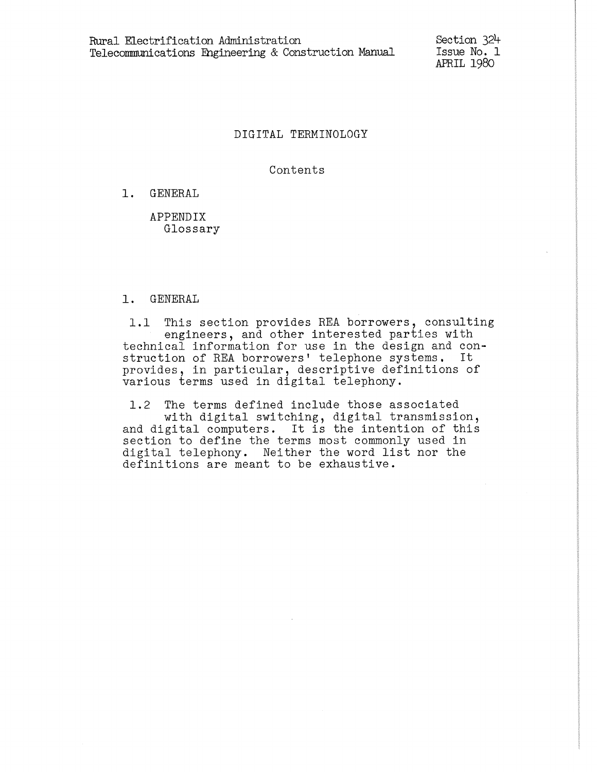Section 324 Issue No. 1 APRIL 1980

## DIGITAL TERMINOLOGY

Contents

1. GENERAL

APPENDIX Glossary

## 1. GENERAL

1.1 This section provides REA borrowers, consulting<br>engineers, and other interested parties with technical information for use in the design and construction of REA borrowers' telephone systems, It provides, in particular, descriptive definitions of various terms used in digital telephony.

1.2 The terms defined include those associated with digital switching, digital transmission, and digital computers. It is the intention of this section to define the terms most commonly used in digital telephony. Neither the word list nor the definitions are meant to be exhaustiv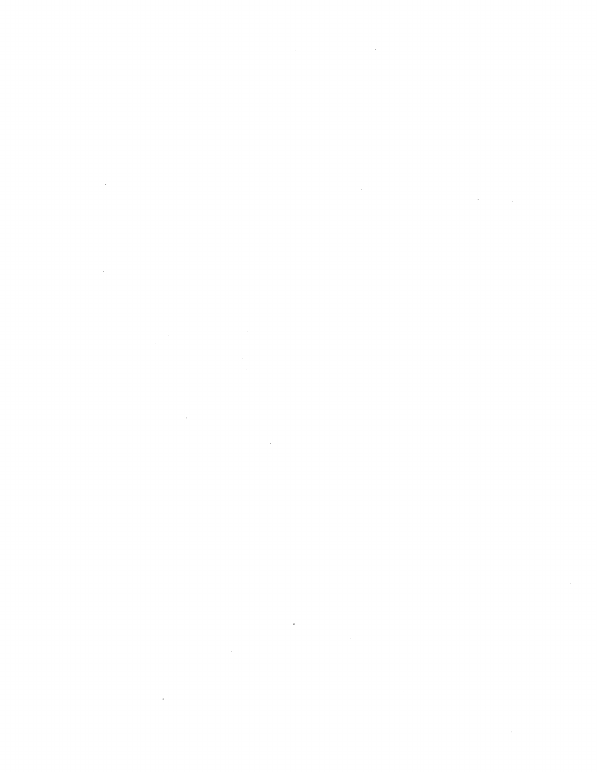$\label{eq:2.1} \frac{1}{\sqrt{2}}\sum_{i=1}^n\frac{1}{\sqrt{2}}\sum_{i=1}^n\frac{1}{\sqrt{2}}\sum_{i=1}^n\frac{1}{\sqrt{2}}\sum_{i=1}^n\frac{1}{\sqrt{2}}\sum_{i=1}^n\frac{1}{\sqrt{2}}\sum_{i=1}^n\frac{1}{\sqrt{2}}\sum_{i=1}^n\frac{1}{\sqrt{2}}\sum_{i=1}^n\frac{1}{\sqrt{2}}\sum_{i=1}^n\frac{1}{\sqrt{2}}\sum_{i=1}^n\frac{1}{\sqrt{2}}\sum_{i=1}^n\frac$ 

 $\label{eq:2.1} \frac{1}{\sqrt{2}}\int_{\mathbb{R}^3}\frac{1}{\sqrt{2}}\left(\frac{1}{\sqrt{2}}\right)^2\frac{1}{\sqrt{2}}\left(\frac{1}{\sqrt{2}}\right)^2\frac{1}{\sqrt{2}}\left(\frac{1}{\sqrt{2}}\right)^2.$ 

 $\label{eq:2.1} \frac{1}{\sqrt{2}}\int_{\mathbb{R}^3} \frac{1}{\sqrt{2}}\left(\frac{1}{\sqrt{2}}\right)^2\left(\frac{1}{\sqrt{2}}\right)^2\left(\frac{1}{\sqrt{2}}\right)^2\left(\frac{1}{\sqrt{2}}\right)^2\left(\frac{1}{\sqrt{2}}\right)^2\left(\frac{1}{\sqrt{2}}\right)^2\left(\frac{1}{\sqrt{2}}\right)^2\left(\frac{1}{\sqrt{2}}\right)^2\left(\frac{1}{\sqrt{2}}\right)^2\left(\frac{1}{\sqrt{2}}\right)^2\left(\frac{1}{\sqrt{2}}\right)^2\left(\$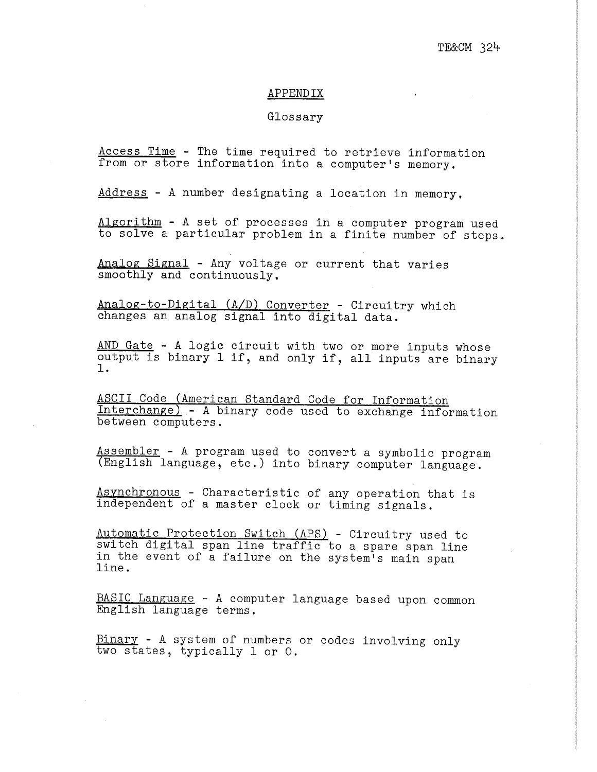## APPENDIX

## Glossary

Access Time - The time required to retrieve information from or store information into a computer's memory.

Address - A number designating a location in memory.

Algorithm - A set of processes in a computer program used to solve a particular problem in a finite number of steps.

Analog Signal - Any voltage or current that varies smoothly and continuously.

Analog-to-Digital (A/D) Converter - Circuitry which changes an analog signal into digital data.

AND Gate - A logic circuit with two or more inputs whose output is binary 1 if, and only if, all inputs are binary 1.

ASCII Code American Standard Code for Information Interchange) - A binary code used to exchange information between computers.

Assembler - A program used to convert a symbolic program (English language, etc.) into binary computer language.

Asynchronous - Characteristic of any operation that is independent of a master clock or timing signals.

Automatic Protection Switch (APS) - Circuitry used to switch digital span line traffic to a spare span line in the event of a failure on the system's main span line.

BASIC Language - A computer language based upon common English language terms.

Binary - A system of numbers or codes involving only two states, typically 1 or 0.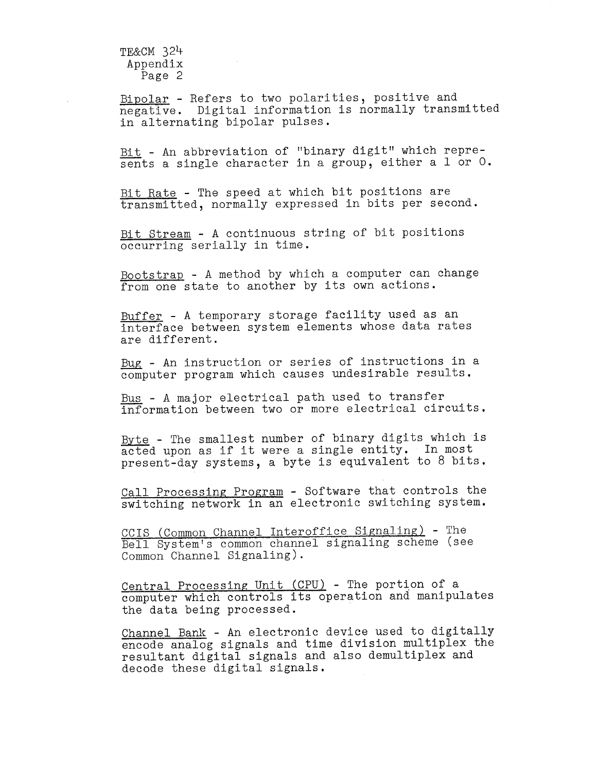Bipolar - Refers to two polarities, positive and negative. Digital information is normally transmitted in alternating bipolar pulses.

Bit - An abbreviation of "binary digit" which represents a single character in a group, either a 1 or O.

Bit Rate - The speed at which bit positions are transmitted, normally expressed in bits per second.

Bit Stream - A continuous string of bit positions occurring serially in time.

Bootstrap - A method by which a computer can change from one state to another by its own actions.

Buffer - A temporary storage facility used as an interface between system elements whose data rates are different.

Bug - An instruction or series of instructions in a computer program which causes undesirable results.

Bus - A major electrical path used to transfer information between two or more electrical circuits,

Byte - The smallest number of binary digits which is acted upon as if it were a single entity. In most present-day systems, a byte is equivalent to 8 bits.

Call Processing Program - Software that controls the switching network in an electronic switching system.

CCIS (Common Channel Interoffice Signaling) - The Bell System's common channel signaling scheme (see Common Channel Signaling).

Central Processing Unit (CPU) - The portion of a computer which controls its operation and manipulates the data being processed.

Channel Bank - An electronic device used to digitally encode analog signals and time division multiplex the resultant digital signals and also demultiplex and decode these digital signals,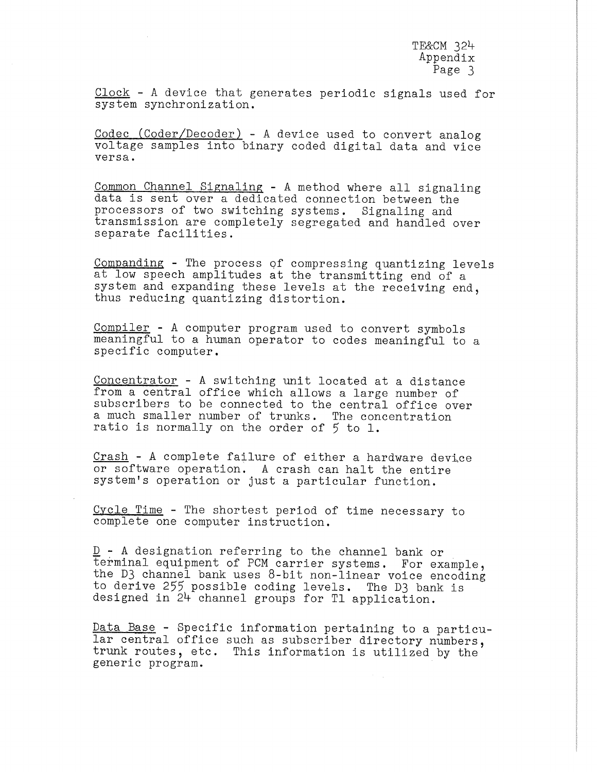Clock - A device that generates periodic signals used for system synchronization.

Codec (Coder/Decoder) - A device used to convert analog voltage samples into binary coded digital data and vice versa.

Common Channel Signaling - A method where all signaling data is sent over a dedicated connection between the processors of two switching systems. Signaling and transmission are completely segregated and handled over separate facilities.

Companding - The process *qf* compressing quantizing levels at low speech amplitudes at the transmitting end of a system and expanding these levels at the receiving end, thus reducing quantizing distortion.

Compiler - A computer program used to convert symbols meaningful to a human operator to codes meaningful to a specific computer.

Concentrator - A switching unit located at a distance from a central office which allows a large number of subscribers to be connected to the central office over a much smaller number of trunks. The concentration ratio is normally on the order of 5 to 1.

C<u>rash</u> - A complete failure of either a hardware devic<br>or software operation. A crash can halt the entire system's operation or just a particular function.

Cycle Time - The shortest period of time necessary to complete one computer instruction.

 $\underline{D}$  - A designation referring to the channel bank or<br>terminal equipment of PCM carrier systems. For example, the D3 channel bank uses 8-bit non-linear voice encoding<br>to derive 255 possible coding levels. The D3 bank is designed in 24 channel groups for Tl application.

Data Base - Specific information pertaining to a particular central office such as subscriber directory numbers, trunk routes, etc. This information is utilized by the generic program.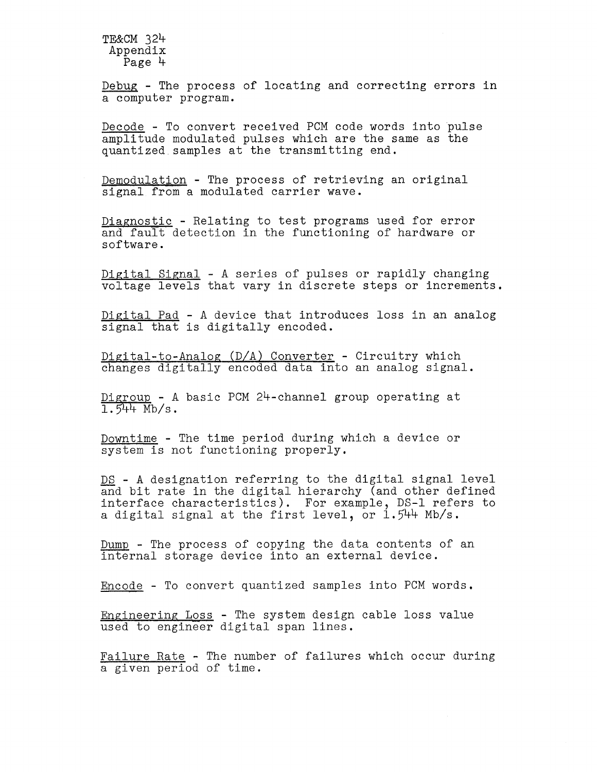Debug - The process of locating and correcting errors in a computer program.

Decode - To convert received PCM code words into pulse amplitude modulated pulses which are the same as the quantized samples at the transmitting end.

Demodulation - The process of retrieving an original signal from a modulated carrier wave.

Diagnostic - Relating to test programs used for error and fault detection in the functioning of hardware or software.

Digital Signal - A series of pulses or rapidly changing voltage levels that vary in discrete steps or increments.

Digital Pad - A device that introduces loss in an analog signal that is digitally encoded.

Digital-to-Analog (D/A) Converter - Circuitry which changes digitally encoded data into an analog signal.

Digroup - A basic PCM 24-channel group operating at  $1.544$  Mb/s.

Downtime - The time period during which a device or system is not functioning properly.

DS - A designation referring to the digital signal level and bit rate in the digital hierarchy (and other defined interface characteristics). For example, DS-1 refers to a digital signal at the first level, or 1.544 Mb/s.

Dump - The process of copying the data contents of an internal storage device into an external device.

Encode - To convert quantized samples into PCM words.

Engineering Loss - The system design cable loss value used to engineer digital span lines.

Failure Rate - The number of failures which occur during a given period of time.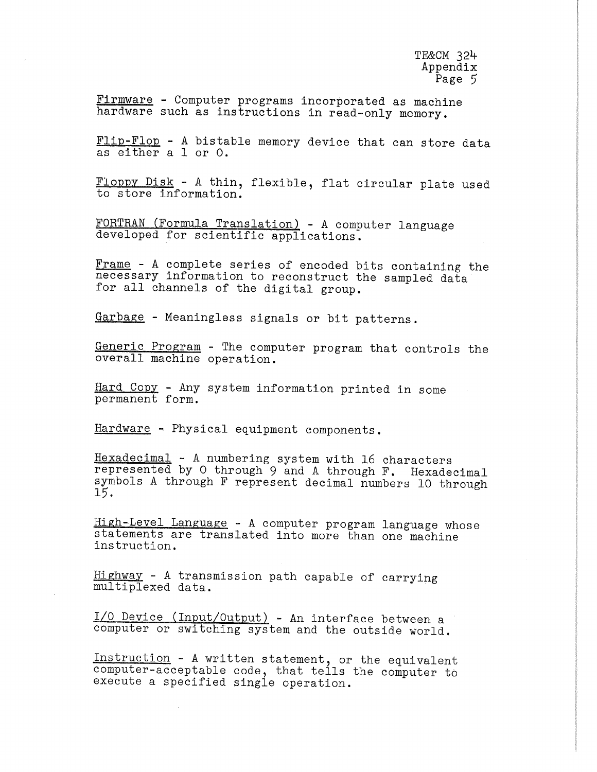Firmware - Computer programs incorporated as machine hardware such as instructions in read-only memory.

Flip-Flop - A bistable memory device that can store data as either a 1 or 0.

Floppy Disk - A thin, flexible, flat circular plate used to store information.

FORTRAN (Formula Translation) - A computer language developed for scientific applications.

Frame - A complete series of encoded bits containing the necessary information to reconstruct the sampled data for all channels of the digital group,

Garbage - Meaningless signals or bit patterns.

Generic Program - The computer program that controls the overall machine operation.

Hard Copy - Any system information printed in some permanent form.

Hardware - Physical equipment components,

Hexadecimal - A numbering system with 16 characters<br>represented by O through 9 and A through F. Hexadecimal symbols A through F represent decimal numbers 10 through 15.

High-Level Language - A computer program language whose statements are translated into more than one machine instruction.

Highway - A transmission path capable of carrying multiplexed data.

I/0 Device (Input/Output) - An interface between a computer or switching system and the outside world,

Instruction - A written statement, or the equivalent computer-acceptable code, that tells the computer to execute a specified single operation.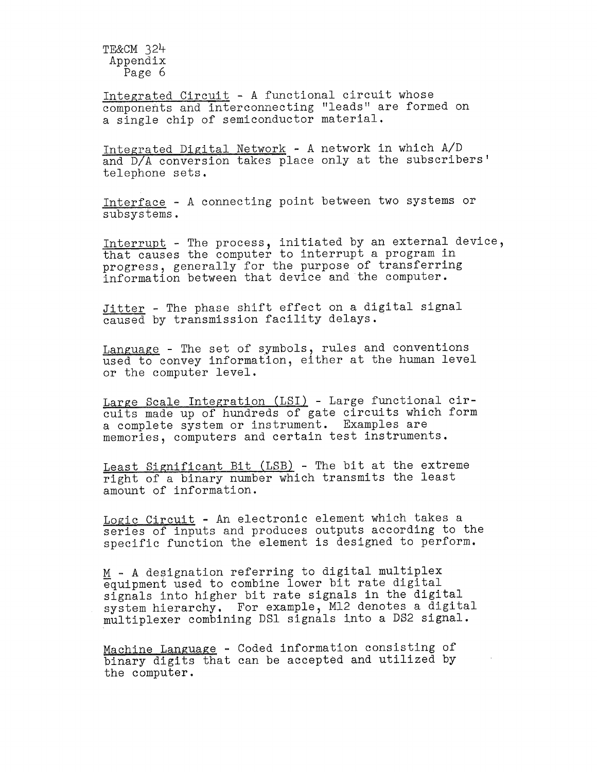Integrated Circuit - A functional circuit whose components and interconnecting "leads" are formed on a single chip of semiconductor material.

Integrated Digital Network - A network in which A/D and D/A conversion takes place only at the subscribers' telephone sets.

Interface - A connecting point between two systems or subsystems.

Interrupt - The process, initiated by an external device, that causes the computer to interrupt a program in progress, generally for the purpose of transferring information between that device and the computer.

Jitter - The phase shift effect on a digital signal caused by transmission facility delays.

Language - The set of symbols, rules and conventions used to convey information, either at the human level or the computer level.

Large Scale Integration (LSI) - Large functional circuits made up of hundreds of gate circuits which form a complete system or instrument. Examples are memories, computers and certain test instruments.

Least Significant Bit (LSB) - The bit at the extreme right of a binary number which transmits the least amount of information.

Logic Circuit - An electronic element which takes a series of inputs and produces outputs according to the specific function the element is designed to perform.

 $M$  - A designation referring to digital multiplex equipment used to combine lower bit rate digital signals into higher bit rate signals in the digital system hierarchy. For example, Ml2 denotes a digital multiplexer combining DSl signals into a DS2 signal.

Machine Language - Coded information consisting of<br>binary digits that can be accepted and utilized by the computer.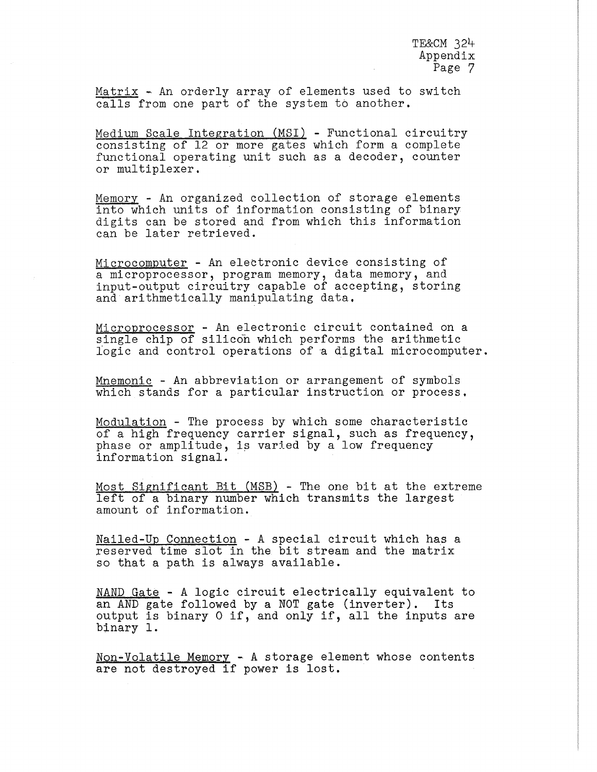Matrix - An orderly array of elements used to switch calls from one part of the system to another.

Medium Scale Integration (MSI) - Functional circuitry consisting of 12 or more gates which form a complete functional operating unit such as a decoder, counter or multiplexer.

Memory - An organized collection of storage elements into which units of information consisting of binary digits can be stored and from which this information can be later retrieved.

Microcomputer - An electronic device consisting of a microprocessor, program memory, data memory, and input-output circuitry capable of accepting, storing and arithmetically manipulating data,

Microprocessor - An electronic circuit contained on a single chip of silicon which performs the arithmetic logic and control operations of a digital microcomputer.

Mnemonic - An abbreviation or arrangement of symbols which stands for a particular instruction or process,

Modulation - The process by which some characteristic of a high frequency carrier signal, such as frequency, phase or amplitude, is varied by a low frequency information signal.

Most Significant Bit (MSB) - The one bit at the extreme left of a binary number which transmits the largest amount of information.

Nailed-Up Connection - A special circuit which has a reserved time slot in the bit stream and the matrix so that a path is always available.

NAND Gate - A logic circuit electrically equivalent to an AND gate followed by a NOT gate (inverter). Its output is binary O if, and only if, all the inputs are binary 1.

Non-Volatile Memory - A storage element whose contents are not destroyed if power is lost.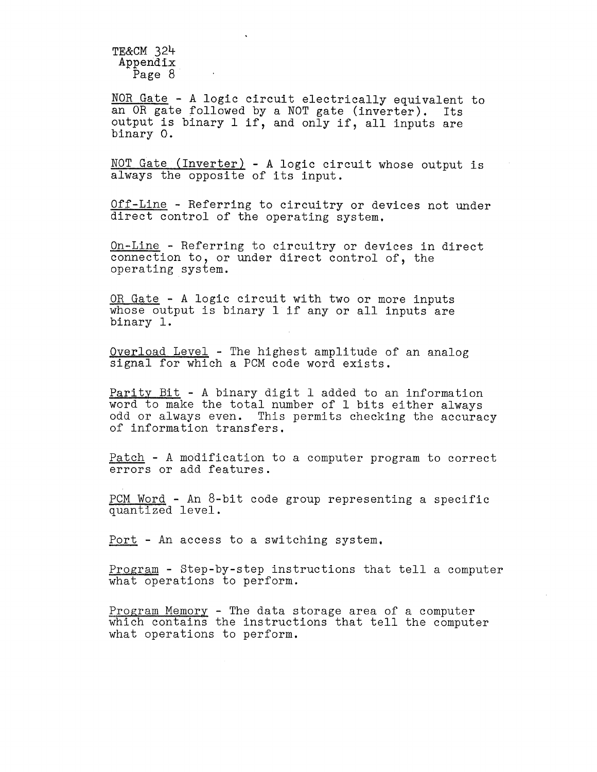NOR Gate - A logic circuit electrically equivalent to an OR gate followed by a NOT gate (inverter). Its output is binary 1 if, and only if, all inputs are binary 0.

NOT Gate (Inverter) - A logic circuit whose output is always the opposite of its input.

Off-Line - Referring to circuitry or devices not under direct control of the operating system.

On-Line - Referring to circuitry or devices in direct connection to, or under direct control of, the operating system.

OR Gate - A logic circuit with two or more inputs whose output is binary 1 if any or all inputs are binary 1.

Overload Level - The highest amplitude of an analog signal for which a PCM code word exists.

Parity Bit - A binary digit 1 added to an information word to make the total number of 1 bits either always odd or always even. This permits checking the accuracy of information transfers.

Patch - A modification to a computer program to correct errors or add features.

PCM Word - An 8-bit code group representing a specific quantized level.

Port - An access to a switching system,

Program - Step-by-step instructions that tell a computer what operations to perform.

Program Memory - The data storage area of a computer which contains the instructions that tell the computer what operations to perform.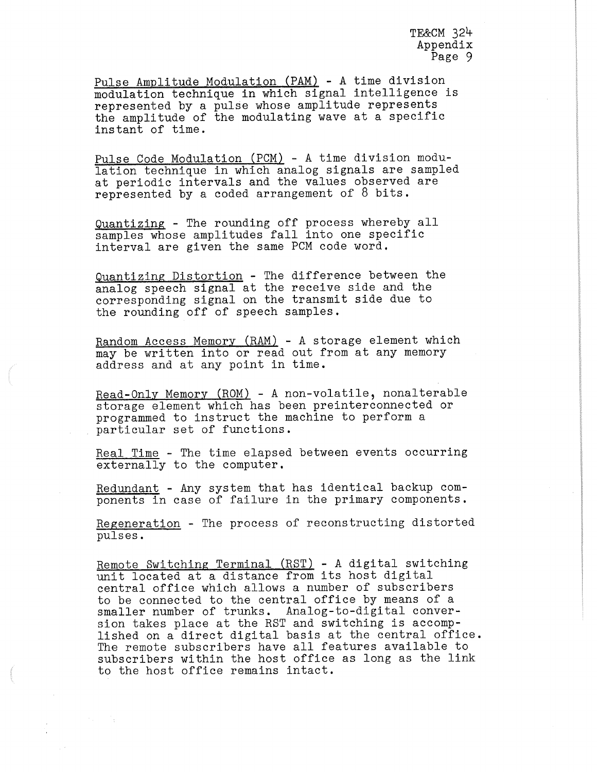Pulse Amplitude Modulation (PAM) - A time division modulation technique in which signal intelligence is represented by a pulse whose amplitude represents the amplitude of the modulating wave at a specific instant of time.

Pulse Code Modulation (PCM) - A time division modulation technique in which analog signals are sampled at periodic intervals and the values observed are represented by a coded arrangement of 8 bits.

Quantizing - The rounding off process whereby all samples whose amplitudes fall into one specific interval are given the same PCM code word.

Quantizing Distortion - The difference between the analog speech signal at the receive side and the corresponding signal on the transmit side due to the rounding off of speech samples.

Random Access Memory (RAM) - A storage element which may be written into or read out from at any memory address and at any point in time.

Read-Only Memory (ROM) - A non-volatile, nonalterable storage element which has been preinterconnected or programmed to instruct the machine to perform a particular set of functions.

Real Time - The time elapsed between events occurring externally to the computer.

Redundant - Any system that has identical backup com ponents in case of failure in the primary components.

Regeneration - The process of reconstructing distorted pulses.

Remote Switching Terminal (RST) - A digital switching<br>unit located at a distance from its host digital central office which allows a number of subscribers to be connected to the central office by means of a smaller number of trunks. Analog-to-digital conversion takes place at the RST and switching is accomplished on a direct digital basis at the central office. The remote subscribers have all features available to subscribers within the host office as long as the link to the host office remains intact.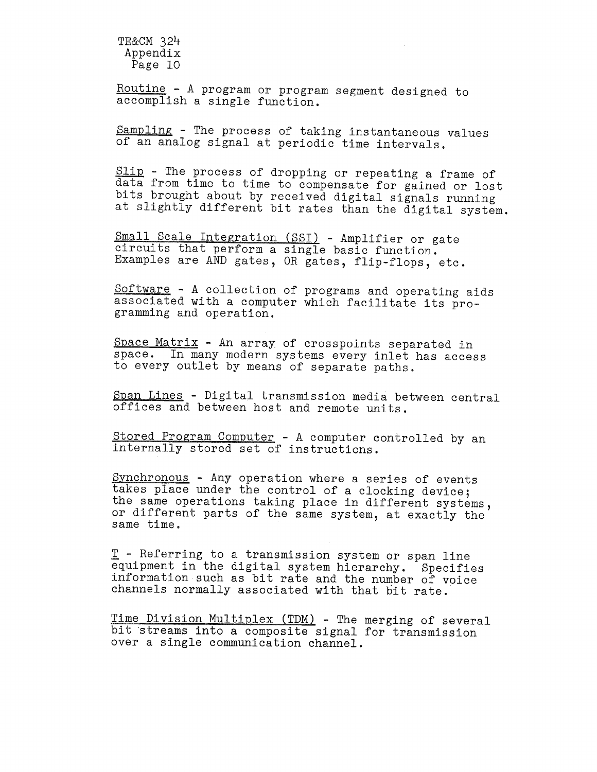Routine - A program or program segment designed to<br>accomplish a single function.

Sampling - The process of taking instantaneous values of an analog signal at periodic time intervals,

Slip - The process of dropping or repeating a frame of data from time to time to compensate for gained or lost bits brought about by received digital signals running at slightly different bit rates than the digital system.

Small Scale Integration (SSI) - Amplifier or gate circuits that perform a single basic function. Examples are AND gates, OR gates, flip-flops, etc.

Software - A collection of programs and operating aids associated with a computer which facilitate its programming and operation.

Space Matrix - An array of crosspoints separated in space. In many modern systems every inlet has access to every outlet by means of separate paths.

Span Lines - Digital transmission media between central offices and between host and remote units.

Stored Program Computer - A computer controlled by an internally stored set of instructions.

Synchronous - Any operation where a series of events takes place under the control of a clocking device; the same operations taking place in different systems, or different parts of the same system, at exactly the same time.

*1* equipment in the digital system hierarchy. Specifies information such as bit rate and the number of voice channels normally associated with that bit rate.

Time Division Multiplex (TDM) - The merging of several bit streams into a composite signal for transmission over a single communication channel.